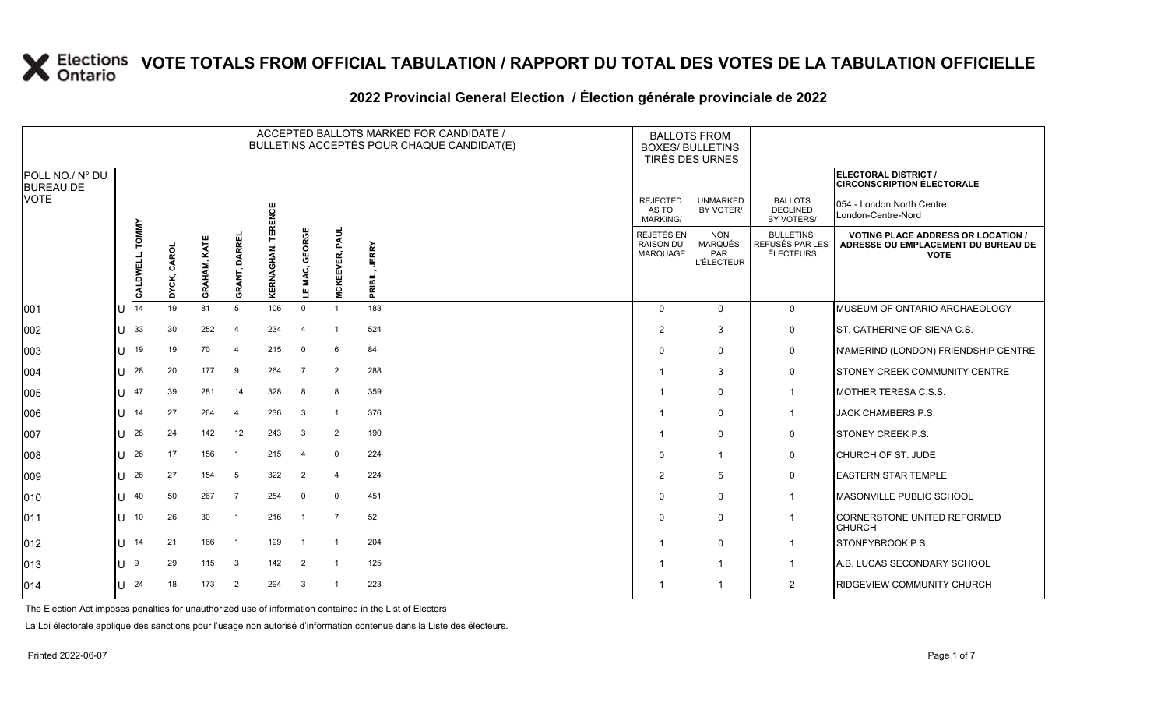|                                     |                 |             |                     |                |                             |                          |                       | ACCEPTED BALLOTS MARKED FOR CANDIDATE /<br>BULLETINS ACCEPTÉS POUR CHAQUE CANDIDAT(E) | <b>BALLOTS FROM</b>                               | <b>BOXES/ BULLETINS</b><br>TIRÉS DES URNES        |                                                  |                                                                                                 |
|-------------------------------------|-----------------|-------------|---------------------|----------------|-----------------------------|--------------------------|-----------------------|---------------------------------------------------------------------------------------|---------------------------------------------------|---------------------------------------------------|--------------------------------------------------|-------------------------------------------------------------------------------------------------|
| POLL NO./ N° DU<br><b>BUREAU DE</b> |                 |             |                     |                |                             |                          |                       |                                                                                       |                                                   |                                                   |                                                  | ELECTORAL DISTRICT /<br><b>CIRCONSCRIPTION ÉLECTORALE</b>                                       |
| <b>VOTE</b>                         |                 |             |                     |                | ENCE                        |                          |                       |                                                                                       | <b>REJECTED</b><br>AS TO<br><b>MARKING/</b>       | <b>UNMARKED</b><br>BY VOTER/                      | <b>BALLOTS</b><br><b>DECLINED</b><br>BY VOTERS/  | 054 - London North Centre<br>London-Centre-Nord                                                 |
|                                     | CALDWELL, TOMMY | DYCK, CAROL | <b>GRAHAM, KATE</b> | GRANT, DARREL  | œ<br>面<br><b>KERNAGHAN,</b> | GEORGE<br>MAC,<br>Ш      | <b>MCKEEVER, PAUL</b> | <b>JERRY</b><br>PRIBIL,                                                               | <b>REJETÉS EN</b><br><b>RAISON DU</b><br>MARQUAGE | <b>NON</b><br>MARQUÉS<br>PAR<br><b>L'ÉLECTEUR</b> | <b>BULLETINS</b><br>REFUSÉS PAR LES<br>ÉLECTEURS | <b>VOTING PLACE ADDRESS OR LOCATION /</b><br>ADRESSE OU EMPLACEMENT DU BUREAU DE<br><b>VOTE</b> |
| 001                                 | 14              | 19          | 81                  | 5              | 106                         | $\Omega$                 | $\overline{1}$        | 183                                                                                   | $\Omega$                                          | $\mathbf 0$                                       | $\mathbf 0$                                      | MUSEUM OF ONTARIO ARCHAEOLOGY                                                                   |
| 002                                 | 33              | 30          | 252                 | $\overline{4}$ | 234                         | $\overline{4}$           | $\overline{1}$        | 524                                                                                   | $\overline{2}$                                    | 3                                                 | $\mathbf 0$                                      | <b>ST. CATHERINE OF SIENA C.S.</b>                                                              |
| 003                                 | 19              | 19          | 70                  | $\overline{4}$ | 215                         | $\overline{0}$           | 6                     | 84                                                                                    | $\Omega$                                          | $\mathbf 0$                                       | $\mathbf 0$                                      | N'AMERIND (LONDON) FRIENDSHIP CENTRE                                                            |
| 004                                 | 28              | 20          | 177                 | 9              | 264                         | $\overline{7}$           | 2                     | 288                                                                                   | -1                                                | 3                                                 | $\mathbf 0$                                      | STONEY CREEK COMMUNITY CENTRE                                                                   |
| 005                                 | 47              | 39          | 281                 | 14             | 328                         | 8                        | 8                     | 359                                                                                   | -1                                                | $\mathbf 0$                                       | $\overline{1}$                                   | MOTHER TERESA C.S.S.                                                                            |
| 006                                 | 14              | 27          | 264                 | $\overline{4}$ | 236                         | 3                        | $\overline{1}$        | 376                                                                                   | -1                                                | $\mathbf 0$                                       | -1                                               | <b>JACK CHAMBERS P.S.</b>                                                                       |
| 007                                 | 28              | 24          | 142                 | 12             | 243                         | 3                        | 2                     | 190                                                                                   | -1                                                | $\Omega$                                          | $\mathbf 0$                                      | <b>STONEY CREEK P.S.</b>                                                                        |
| 008                                 | 26              | 17          | 156                 | $\overline{1}$ | 215                         | $\overline{\mathcal{A}}$ | $\mathbf 0$           | 224                                                                                   | $\Omega$                                          | $\overline{1}$                                    | $\mathbf 0$                                      | CHURCH OF ST. JUDE                                                                              |
| 009                                 | 26              | 27          | 154                 | 5              | 322                         | $\overline{2}$           | $\overline{4}$        | 224                                                                                   | $\overline{2}$                                    | 5                                                 | $\mathbf 0$                                      | <b>EASTERN STAR TEMPLE</b>                                                                      |
| 010                                 | 40              | 50          | 267                 | - 7            | 254                         | $\mathbf 0$              | $\mathbf 0$           | 451                                                                                   | $\Omega$                                          | $\mathbf 0$                                       | $\overline{1}$                                   | MASONVILLE PUBLIC SCHOOL                                                                        |
| 011                                 | 10              | 26          | 30                  | $\overline{1}$ | 216                         | $\overline{1}$           | $\overline{7}$        | 52                                                                                    | $\Omega$                                          | $\mathbf 0$                                       | $\overline{\mathbf{1}}$                          | CORNERSTONE UNITED REFORMED<br><b>CHURCH</b>                                                    |
| 012                                 | 14              | 21          | 166                 | $\overline{1}$ | 199                         | $\overline{1}$           | $\overline{1}$        | 204                                                                                   | -1                                                | $\mathbf 0$                                       | -1                                               | STONEYBROOK P.S.                                                                                |
| 013                                 | 9               | 29          | 115                 | 3              | 142                         | $\overline{2}$           | $\overline{1}$        | 125                                                                                   | -1                                                | -1                                                | $\overline{1}$                                   | A.B. LUCAS SECONDARY SCHOOL                                                                     |
| 014                                 | 24              | 18          | 173                 | $\overline{2}$ | 294                         | 3                        | $\overline{1}$        | 223                                                                                   | -1                                                | -1                                                | $\overline{2}$                                   | <b>RIDGEVIEW COMMUNITY CHURCH</b>                                                               |

#### **2022 Provincial General Election / Élection générale provinciale de 2022**

The Election Act imposes penalties for unauthorized use of information contained in the List of Electors

La Loi électorale applique des sanctions pour l'usage non autorisé d'information contenue dans la Liste des électeurs.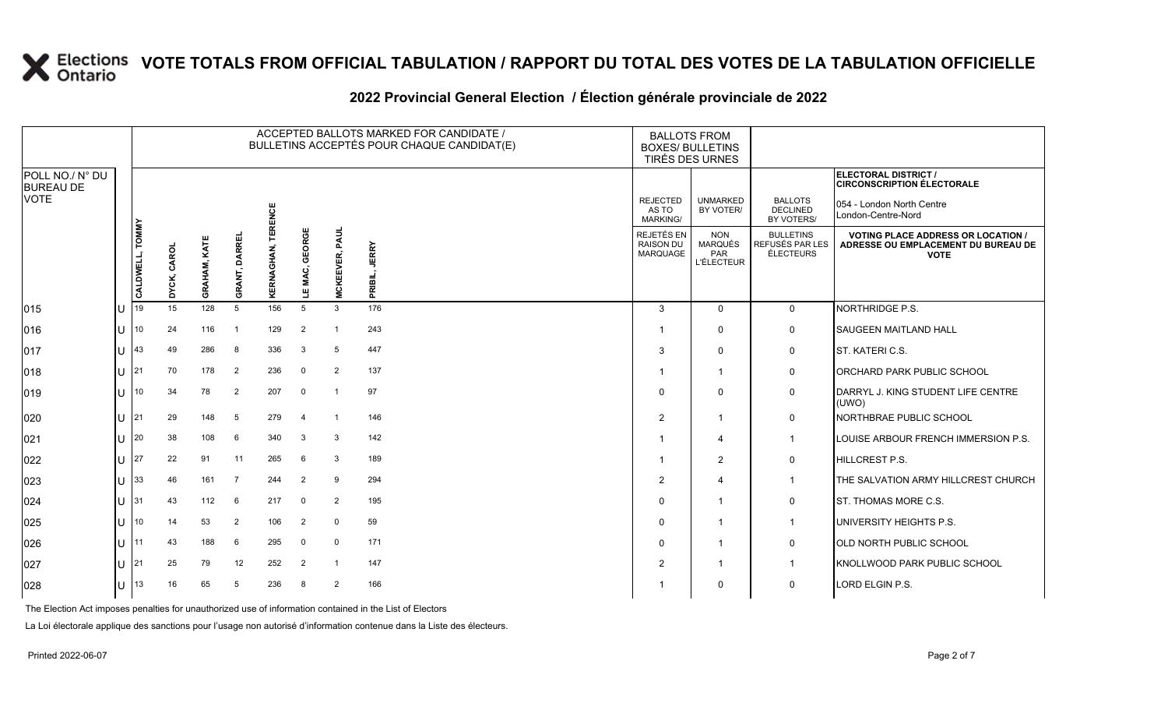# **2022 Provincial General Election / Élection générale provinciale de 2022**

|                                     |              |                    |                       |                     |                |                   |                   |                          | ACCEPTED BALLOTS MARKED FOR CANDIDATE /<br>BULLETINS ACCEPTÉS POUR CHAQUE CANDIDAT(E) | <b>BALLOTS FROM</b><br><b>BOXES/ BULLETINS</b><br>TIRÉS DES URNES |                                                   |                                                  |                                                                                                 |
|-------------------------------------|--------------|--------------------|-----------------------|---------------------|----------------|-------------------|-------------------|--------------------------|---------------------------------------------------------------------------------------|-------------------------------------------------------------------|---------------------------------------------------|--------------------------------------------------|-------------------------------------------------------------------------------------------------|
| POLL NO./ N° DU<br><b>BUREAU DE</b> |              |                    |                       |                     |                |                   |                   |                          |                                                                                       |                                                                   |                                                   |                                                  | ELECTORAL DISTRICT /<br><b>CIRCONSCRIPTION ÉLECTORALE</b>                                       |
| <b>VOTE</b>                         |              |                    |                       |                     |                | <b>TERENCE</b>    |                   |                          |                                                                                       | <b>REJECTED</b><br>AS TO<br><b>MARKING/</b>                       | <b>UNMARKED</b><br>BY VOTER/                      | <b>BALLOTS</b><br><b>DECLINED</b><br>BY VOTERS/  | 054 - London North Centre<br>London-Centre-Nord                                                 |
|                                     |              | TOMMY<br>CALDWELL, | CAROL<br><b>DYCK,</b> | <b>GRAHAM, KATE</b> | GRANT, DARREI  | <b>KERNAGHAN,</b> | GEORGE<br>LE MAC, | PAUL<br><b>MCKEEVER,</b> | ERRY<br>룹<br>ᄒ                                                                        | REJETÉS EN<br>RAISON DU<br><b>MARQUAGE</b>                        | <b>NON</b><br>MARQUÉS<br>PAR<br><b>L'ÉLECTEUR</b> | <b>BULLETINS</b><br>REFUSÉS PAR LES<br>ÉLECTEURS | <b>VOTING PLACE ADDRESS OR LOCATION /</b><br>ADRESSE OU EMPLACEMENT DU BUREAU DE<br><b>VOTE</b> |
| 015                                 | U            | 19                 | 15                    | 128                 | 5              | 156               | 5                 | $\mathbf{3}$             | ᇍ<br>176                                                                              | 3                                                                 | $\mathbf{0}$                                      | $\mathbf 0$                                      | NORTHRIDGE P.S.                                                                                 |
| 016                                 | U            | 10                 | 24                    | 116                 | $\overline{1}$ | 129               | 2                 | - 1                      | 243                                                                                   | $\mathbf 1$                                                       | $\Omega$                                          | $\mathbf 0$                                      | <b>SAUGEEN MAITLAND HALL</b>                                                                    |
| 017                                 | $\mathbf{U}$ | 143                | 49                    | 286                 | 8              | 336               | 3                 | 5                        | 447                                                                                   | 3                                                                 | $\Omega$                                          | $\mathbf 0$                                      | ST. KATERIC.S.                                                                                  |
| 018                                 | U            | 21                 | 70                    | 178                 | $\overline{2}$ | 236               | $\mathbf 0$       | $\overline{2}$           | 137                                                                                   | $\mathbf{1}$                                                      |                                                   | $\mathbf 0$                                      | <b>ORCHARD PARK PUBLIC SCHOOL</b>                                                               |
| 019                                 | U            | 10                 | 34                    | 78                  | $\overline{2}$ | 207               | $\mathbf 0$       | $\overline{1}$           | 97                                                                                    | $\mathbf 0$                                                       | $\Omega$                                          | $\mathbf 0$                                      | DARRYL J. KING STUDENT LIFE CENTRE<br>(UWO)                                                     |
| 020                                 | u            | I21                | 29                    | 148                 | 5              | 279               | $\overline{4}$    | $\overline{1}$           | 146                                                                                   | 2                                                                 | $\mathbf{1}$                                      | $\mathbf 0$                                      | NORTHBRAE PUBLIC SCHOOL                                                                         |
| 021                                 | $\mathbf{U}$ | l 20               | 38                    | 108                 | 6              | 340               | 3                 | 3                        | 142                                                                                   | $\mathbf 1$                                                       | 4                                                 | $\mathbf{1}$                                     | LOUISE ARBOUR FRENCH IMMERSION P.S.                                                             |
| 022                                 | ΠT           | 127                | 22                    | 91                  | 11             | 265               | 6                 | 3                        | 189                                                                                   | $\mathbf{1}$                                                      | 2                                                 | $\mathbf 0$                                      | <b>HILLCREST P.S.</b>                                                                           |
| 023                                 | U            | 33                 | 46                    | 161                 | $\overline{7}$ | 244               | 2                 | 9                        | 294                                                                                   | $\overline{2}$                                                    | 4                                                 | $\mathbf{1}$                                     | THE SALVATION ARMY HILLCREST CHURCH                                                             |
| 024                                 | $\mathbf{H}$ | 131                | 43                    | 112                 | 6              | 217               | $\mathbf 0$       | $\overline{2}$           | 195                                                                                   | $\mathbf 0$                                                       |                                                   | 0                                                | <b>ST. THOMAS MORE C.S.</b>                                                                     |
| 025                                 | ΠT           | 10                 | 14                    | 53                  | 2              | 106               | 2                 | $\mathbf 0$              | 59                                                                                    | $\mathbf 0$                                                       |                                                   | $\mathbf{1}$                                     | UNIVERSITY HEIGHTS P.S.                                                                         |
| 026                                 | U.           | 11                 | 43                    | 188                 | 6              | 295               | $\mathbf 0$       | 0                        | 171                                                                                   | $\mathbf 0$                                                       | -1                                                | $\mathbf 0$                                      | OLD NORTH PUBLIC SCHOOL                                                                         |
| 027                                 | $\mathbf{U}$ | 21                 | 25                    | 79                  | 12             | 252               | 2                 | $\overline{1}$           | 147                                                                                   | 2                                                                 |                                                   | $\mathbf{1}$                                     | KNOLLWOOD PARK PUBLIC SCHOOL                                                                    |
| 028                                 | U            | $\vert$ 13         | 16                    | 65                  | 5              | 236               | 8                 | 2                        | 166                                                                                   | $\mathbf 1$                                                       | $\Omega$                                          | 0                                                | LORD ELGIN P.S.                                                                                 |
|                                     |              |                    |                       |                     |                |                   |                   |                          |                                                                                       |                                                                   |                                                   |                                                  |                                                                                                 |

The Election Act imposes penalties for unauthorized use of information contained in the List of Electors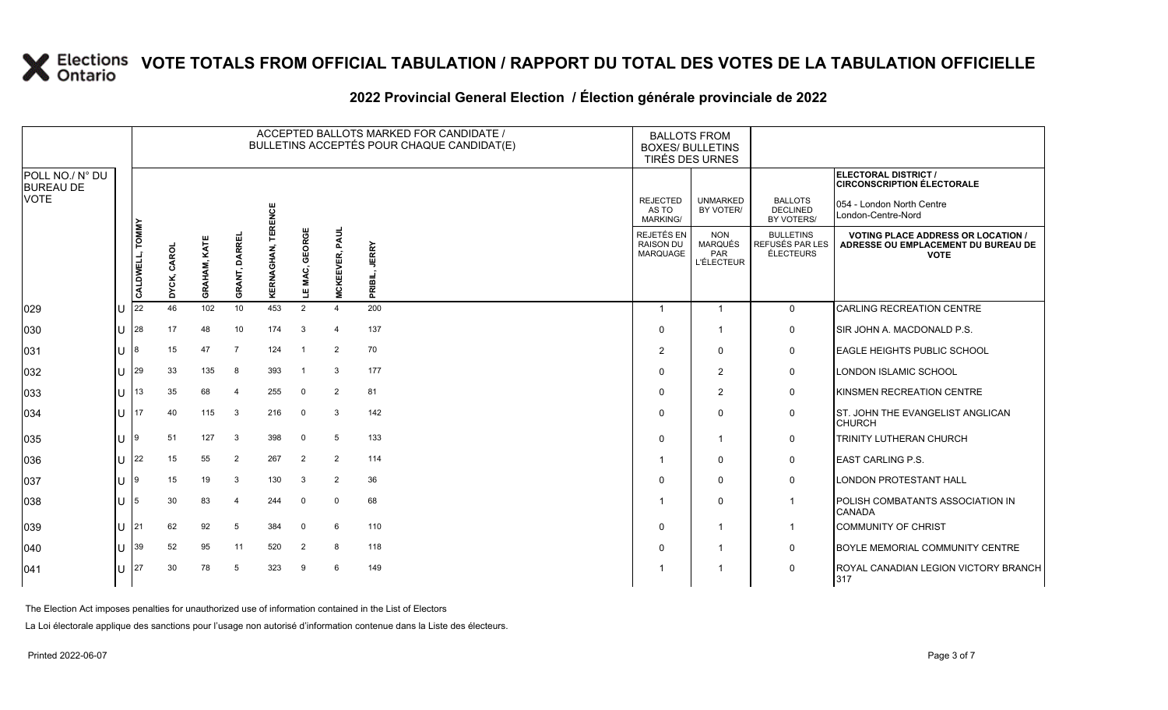| POLL NO./ N° DU<br>ELECTORAL DISTRICT /<br><b>CIRCONSCRIPTION ÉLECTORALE</b><br><b>BUREAU DE</b><br><b>VOTE</b><br><b>REJECTED</b><br><b>UNMARKED</b><br><b>BALLOTS</b><br>054 - London North Centre<br><b>TERENCE</b><br>AS TO<br>BY VOTER/<br><b>DECLINED</b><br>London-Centre-Nord<br><b>MARKING/</b><br>BY VOTERS/<br>CALDWELL, TOMMY<br>GEORGE<br>REJETÉS EN<br><b>NON</b><br><b>BULLETINS</b><br><b>VOTING PLACE ADDRESS OR LOCATION /</b><br>MARQUÉS<br><b>RAISON DU</b><br>REFUSÉS PAR LES<br><b>JERRY</b><br>ADRESSE OU EMPLACEMENT DU BUREAU DE<br>CAROL<br>MARQUAGE<br><b>ÉLECTEURS</b><br>PAR<br><b>VOTE</b> |  |
|--------------------------------------------------------------------------------------------------------------------------------------------------------------------------------------------------------------------------------------------------------------------------------------------------------------------------------------------------------------------------------------------------------------------------------------------------------------------------------------------------------------------------------------------------------------------------------------------------------------------------|--|
|                                                                                                                                                                                                                                                                                                                                                                                                                                                                                                                                                                                                                          |  |
|                                                                                                                                                                                                                                                                                                                                                                                                                                                                                                                                                                                                                          |  |
| <b>MCKEEVER, PAUL</b><br>GRANT, DARREI<br><b>GRAHAM, KATE</b><br><b>KERNAGHAN,</b><br><b>L'ÉLECTEUR</b><br>MAC,<br>PRIBIL,<br><b>DYCK,</b><br>Щ                                                                                                                                                                                                                                                                                                                                                                                                                                                                          |  |
| 122<br>102<br>453<br>200<br>46<br>10<br>2<br>CARLING RECREATION CENTRE<br>$\boldsymbol{\varDelta}$<br>$\mathbf 0$<br>029<br>U<br>$\overline{\mathbf{1}}$<br>$\mathbf{1}$                                                                                                                                                                                                                                                                                                                                                                                                                                                 |  |
| 48<br>174<br>137<br> 28<br>17<br>10<br>3<br>$\overline{4}$<br>0<br>SIR JOHN A. MACDONALD P.S.<br>030<br>U<br>$\Omega$<br>-1                                                                                                                                                                                                                                                                                                                                                                                                                                                                                              |  |
| 47<br>124<br>70<br>$\overline{7}$<br><b>EAGLE HEIGHTS PUBLIC SCHOOL</b><br>15<br>$\overline{2}$<br>0<br>031<br>IU.<br>18<br>$\overline{2}$<br>$\mathbf{0}$                                                                                                                                                                                                                                                                                                                                                                                                                                                               |  |
| 135<br>129<br>8<br>393<br>177<br>2<br>032<br>33<br>3<br>0<br>LONDON ISLAMIC SCHOOL<br>$\Omega$<br>IU.                                                                                                                                                                                                                                                                                                                                                                                                                                                                                                                    |  |
| 68<br>255<br>81<br>113<br>35<br>2<br>$\overline{4}$<br>$\mathbf 0$<br>0<br>KINSMEN RECREATION CENTRE<br>033<br>U<br>$\overline{2}$<br>$\Omega$                                                                                                                                                                                                                                                                                                                                                                                                                                                                           |  |
| 115<br>3<br>216<br>$\mathbf 0$<br>3<br>142<br><b>17</b><br>40<br>$\mathbf 0$<br>0<br><b>ST. JOHN THE EVANGELIST ANGLICAN</b><br>034<br>IU.<br>$\Omega$<br><b>CHURCH</b>                                                                                                                                                                                                                                                                                                                                                                                                                                                  |  |
| 127<br>398<br>133<br>TRINITY LUTHERAN CHURCH<br>51<br>3<br>$\mathbf 0$<br>5<br>035<br>19<br>0<br>ПJ<br>$\Omega$<br>-1                                                                                                                                                                                                                                                                                                                                                                                                                                                                                                    |  |
| 55<br> 22<br>15<br>2<br>267<br>$\overline{2}$<br>$\overline{2}$<br>114<br>0<br><b>LEAST CARLING P.S.</b><br>036<br>U<br>0<br>-1                                                                                                                                                                                                                                                                                                                                                                                                                                                                                          |  |
| 19<br>130<br>36<br>15<br>3<br>3<br>$\overline{2}$<br>$\mathbf 0$<br><b>LONDON PROTESTANT HALL</b><br>037<br>19<br>$\Omega$<br>0<br>ПJ                                                                                                                                                                                                                                                                                                                                                                                                                                                                                    |  |
| 83<br>244<br>68<br>30<br>$\mathbf 0$<br>$\Omega$<br><b>POLISH COMBATANTS ASSOCIATION IN</b><br>038<br>$\overline{4}$<br>0<br>$\mathbf{1}$<br>U<br>15<br>1<br><b>CANADA</b>                                                                                                                                                                                                                                                                                                                                                                                                                                               |  |
| 92<br><b>COMMUNITY OF CHRIST</b><br>62<br>5<br>384<br>$\mathbf 0$<br>110<br>$\Omega$<br>039<br> 21<br>6<br>$\mathbf{1}$<br>U<br>-1                                                                                                                                                                                                                                                                                                                                                                                                                                                                                       |  |
| 95<br>520<br>$\overline{2}$<br>118<br>BOYLE MEMORIAL COMMUNITY CENTRE<br>39<br>52<br>11<br>0<br>040<br>ΙU<br>8<br>$\Omega$<br>-1                                                                                                                                                                                                                                                                                                                                                                                                                                                                                         |  |
| 78<br>323<br>$\mathbf 0$<br>127<br>30<br>5<br>9<br>149<br><b>ROYAL CANADIAN LEGION VICTORY BRANCH</b><br>041<br>6<br>-1<br>ПT<br>-1<br>317                                                                                                                                                                                                                                                                                                                                                                                                                                                                               |  |

#### **2022 Provincial General Election / Élection générale provinciale de 2022**

The Election Act imposes penalties for unauthorized use of information contained in the List of Electors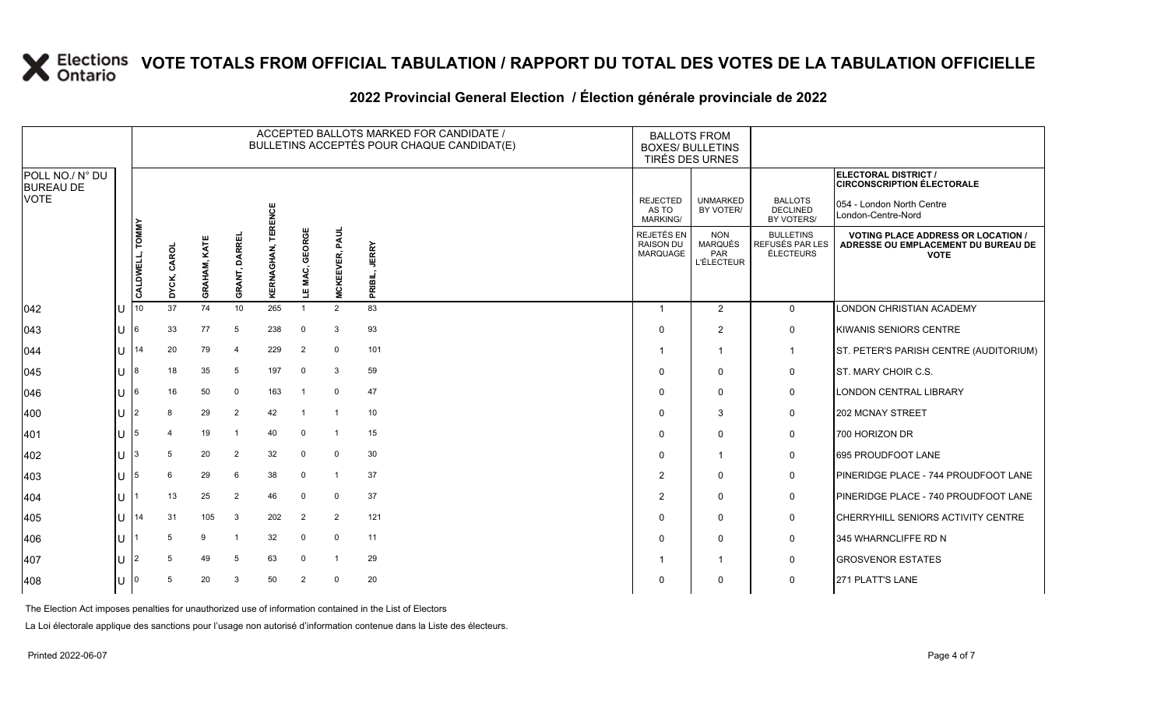#### **2022 Provincial General Election / Élection générale provinciale de 2022**

|                                     |       |                 |             |              |                |                        |                     |                      | ACCEPTED BALLOTS MARKED FOR CANDIDATE /<br>BULLETINS ACCEPTÉS POUR CHAQUE CANDIDAT(E) | <b>BALLOTS FROM</b><br><b>BOXES/ BULLETINS</b><br>TIRÉS DES URNES |                                                          |                                                  |                                                                                                 |
|-------------------------------------|-------|-----------------|-------------|--------------|----------------|------------------------|---------------------|----------------------|---------------------------------------------------------------------------------------|-------------------------------------------------------------------|----------------------------------------------------------|--------------------------------------------------|-------------------------------------------------------------------------------------------------|
| POLL NO./ N° DU<br><b>BUREAU DE</b> |       |                 |             |              |                |                        |                     |                      |                                                                                       |                                                                   |                                                          |                                                  | <b>ELECTORAL DISTRICT /</b><br><b>CIRCONSCRIPTION ÉLECTORALE</b>                                |
| <b>VOTE</b>                         |       |                 |             |              |                | <b>RENCE</b>           |                     |                      |                                                                                       | <b>REJECTED</b><br>AS TO<br>MARKING/                              | <b>UNMARKED</b><br>BY VOTER/                             | <b>BALLOTS</b><br><b>DECLINED</b><br>BY VOTERS/  | 054 - London North Centre<br>London-Centre-Nord                                                 |
|                                     |       | CALDWELL, TOMMY | DYCK, CAROI | GRAHAM, KATE | GRANT, DARREI  | 亩<br><b>KERNAGHAN,</b> | GEORGE<br>MAC,<br>ш | <b>MCKEEVER, PAU</b> | <b>JERRY</b><br>PRIBIL,                                                               | REJETÉS EN<br><b>RAISON DU</b><br><b>MARQUAGE</b>                 | <b>NON</b><br><b>MARQUÉS</b><br>PAR<br><b>L'ÉLECTEUR</b> | <b>BULLETINS</b><br>REFUSÉS PAR LES<br>ÉLECTEURS | <b>VOTING PLACE ADDRESS OR LOCATION /</b><br>ADRESSE OU EMPLACEMENT DU BUREAU DE<br><b>VOTE</b> |
| 042                                 | U     | 10              | 37          | 74           | 10             | 265                    |                     | 2                    | 83                                                                                    | -1                                                                | 2                                                        | $\mathbf 0$                                      | LONDON CHRISTIAN ACADEMY                                                                        |
| 043                                 | U     | '6              | 33          | 77           | 5              | 238                    | $\Omega$            | 3                    | 93                                                                                    | $\Omega$                                                          | $\overline{2}$                                           | 0                                                | KIWANIS SENIORS CENTRE                                                                          |
| 044                                 |       | 111             | 20          | 79           | $\overline{4}$ | 229                    | $\overline{2}$      | $\mathbf 0$          | 101                                                                                   | -1                                                                | -1                                                       | $\mathbf{1}$                                     | ST. PETER'S PARISH CENTRE (AUDITORIUM)                                                          |
| 045                                 | U     | 18              | 18          | 35           | 5              | 197                    | $\mathbf{0}$        | 3                    | 59                                                                                    | $\Omega$                                                          | $\Omega$                                                 | 0                                                | ST. MARY CHOIR C.S.                                                                             |
| 046                                 | U     | 16              | 16          | 50           | $\Omega$       | 163                    |                     | $\mathbf 0$          | 47                                                                                    | $\Omega$                                                          | $\mathbf 0$                                              | 0                                                | LONDON CENTRAL LIBRARY                                                                          |
| 400                                 | U     |                 |             | 29           | $\overline{2}$ | 42                     |                     | $\overline{1}$       | 10                                                                                    | $\Omega$                                                          | 3                                                        | $\mathbf 0$                                      | <b>202 MCNAY STREET</b>                                                                         |
| 401                                 | IJ 15 |                 |             | 19           | - 1            | 40                     | $\mathbf{0}$        | $\overline{1}$       | 15                                                                                    | $\Omega$                                                          | $\Omega$                                                 | $\mathbf 0$                                      | 700 HORIZON DR                                                                                  |
| 402                                 | U     | 3               | .5          | 20           | $\overline{2}$ | 32                     | $\Omega$            | $\mathbf 0$          | 30                                                                                    | $\Omega$                                                          |                                                          | 0                                                | 695 PROUDFOOT LANE                                                                              |
| 403                                 | U     | 15              | 6           | 29           | 6              | 38                     | $\mathbf 0$         | $\mathbf{1}$         | 37                                                                                    | 2                                                                 | $\Omega$                                                 | $\mathbf 0$                                      | PINERIDGE PLACE - 744 PROUDFOOT LANE                                                            |
| 404                                 | U     |                 | 13          | 25           | 2              | 46                     | $\Omega$            | $\mathbf 0$          | 37                                                                                    | $\overline{2}$                                                    | $\Omega$                                                 | 0                                                | PINERIDGE PLACE - 740 PROUDFOOT LANE                                                            |
| 405                                 | U     | 14              | 31          | 105          | 3              | 202                    | 2                   | 2                    | 121                                                                                   | $\Omega$                                                          | $\Omega$                                                 | 0                                                | CHERRYHILL SENIORS ACTIVITY CENTRE                                                              |
| 406                                 | U     |                 | 5           | 9            |                | 32                     | $\Omega$            | $\mathbf 0$          | 11                                                                                    | $\Omega$                                                          | $\Omega$                                                 | 0                                                | 345 WHARNCLIFFE RD N                                                                            |
| 407                                 | U     | 12              | 5           | 49           | 5              | 63                     | $\Omega$            | $\mathbf{1}$         | 29                                                                                    |                                                                   |                                                          | 0                                                | <b>GROSVENOR ESTATES</b>                                                                        |
| 408                                 | U     |                 |             | 20           | 3              | 50                     | 2                   | $\mathbf 0$          | 20                                                                                    | $\Omega$                                                          | $\Omega$                                                 | $\mathbf 0$                                      | 271 PLATT'S LANE                                                                                |

The Election Act imposes penalties for unauthorized use of information contained in the List of Electors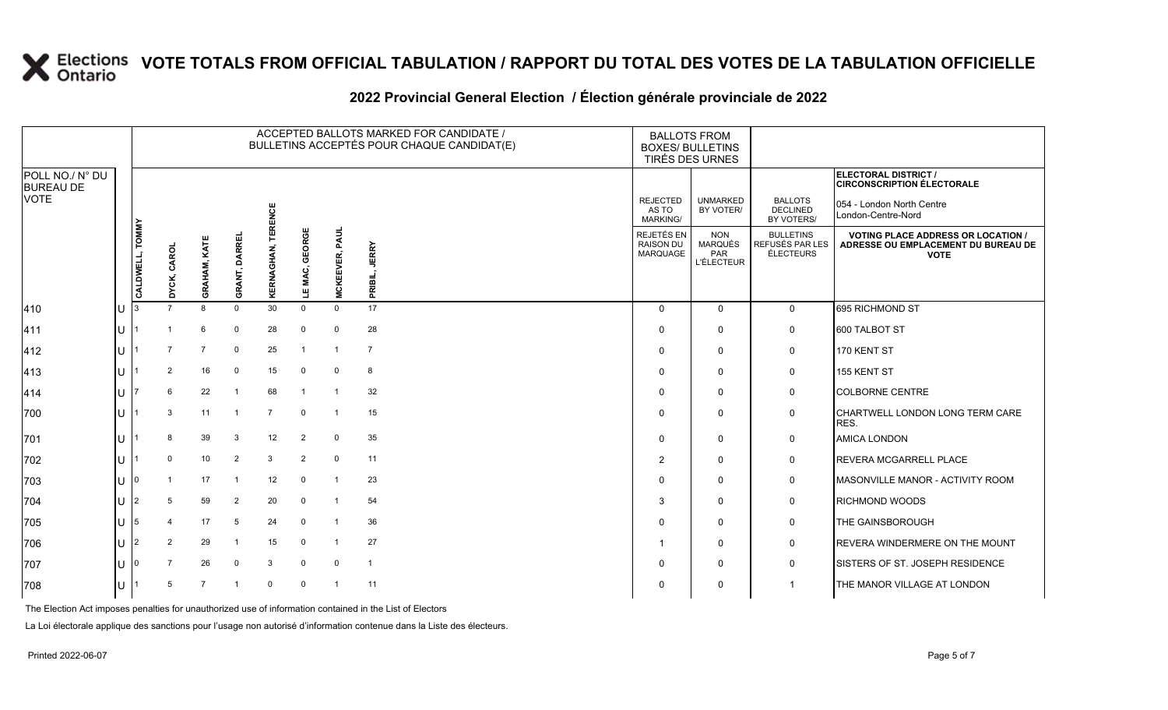#### **2022 Provincial General Election / Élection générale provinciale de 2022**

|                                                    |     |                 |                |                |                |                   |                     |                      | ACCEPTED BALLOTS MARKED FOR CANDIDATE /<br>BULLETINS ACCEPTÉS POUR CHAQUE CANDIDAT(E) |                                             | <b>BALLOTS FROM</b><br><b>BOXES/ BULLETINS</b><br>TIRÉS DES URNES |                                                         |                                                                                                 |
|----------------------------------------------------|-----|-----------------|----------------|----------------|----------------|-------------------|---------------------|----------------------|---------------------------------------------------------------------------------------|---------------------------------------------|-------------------------------------------------------------------|---------------------------------------------------------|-------------------------------------------------------------------------------------------------|
| POLL NO./ N° DU<br><b>BUREAU DE</b><br><b>VOTE</b> |     |                 |                |                |                |                   |                     |                      |                                                                                       |                                             |                                                                   |                                                         | ELECTORAL DISTRICT /<br><b>CIRCONSCRIPTION ÉLECTORALE</b>                                       |
|                                                    |     |                 |                |                |                | <b>TERENCE</b>    |                     |                      |                                                                                       | <b>REJECTED</b><br>AS TO<br><b>MARKING/</b> | <b>UNMARKED</b><br>BY VOTER/                                      | <b>BALLOTS</b><br><b>DECLINED</b><br>BY VOTERS/         | 054 - London North Centre<br>London-Centre-Nord                                                 |
|                                                    |     | CALDWELL, TOMMY | DYCK, CAROI    | GRAHAM, KATE   | GRANT, DARREL  | <b>KERNAGHAN,</b> | ш<br>GEORGE<br>MAC, | <b>MCKEEVER, PAU</b> | <b>JERRY</b>                                                                          | REJETÉS EN<br><b>RAISON DU</b><br>MARQUAGE  | <b>NON</b><br><b>MARQUÉS</b><br>PAR<br><b>L'ÉLECTEUR</b>          | <b>BULLETINS</b><br>REFUSÉS PAR LES<br><b>ÉLECTEURS</b> | <b>VOTING PLACE ADDRESS OR LOCATION /</b><br>ADRESSE OU EMPLACEMENT DU BUREAU DE<br><b>VOTE</b> |
|                                                    |     |                 |                |                |                |                   | ш<br>⊐              |                      | PRIBIL,                                                                               |                                             |                                                                   |                                                         |                                                                                                 |
| 410                                                | Iυ  |                 |                | $\mathsf{R}$   | $\Omega$       | 30                | $\mathbf 0$         | $\Omega$             | 17                                                                                    | $\mathbf 0$                                 | $\overline{0}$                                                    | $\mathbf 0$                                             | 695 RICHMOND ST                                                                                 |
| 411                                                | lu  |                 |                | 6              | $\Omega$       | 28                | $\mathbf{0}$        | $\mathbf 0$          | 28                                                                                    | $\Omega$                                    | $\mathbf 0$                                                       | $\mathbf 0$                                             | 600 TALBOT ST                                                                                   |
| $ 412\rangle$                                      | lu  |                 | $\overline{7}$ | $\overline{7}$ | $\mathbf 0$    | 25                |                     | $\overline{1}$       | $\overline{7}$                                                                        | $\Omega$                                    | $\mathbf 0$                                                       | 0                                                       | 170 KENT ST                                                                                     |
| $ 413\rangle$                                      | Iυ. |                 | 2              | 16             | $\mathbf 0$    | 15                | $\mathbf 0$         | $\mathbf 0$          | 8                                                                                     | $\Omega$                                    | $\mathbf 0$                                                       | 0                                                       | 155 KENT ST                                                                                     |
| 414                                                | lu  |                 | 6              | 22             | -1             | 68                | -1                  | $\overline{1}$       | 32                                                                                    | $\Omega$                                    | $\mathbf 0$                                                       | $\mathsf{O}$                                            | <b>COLBORNE CENTRE</b>                                                                          |
| 700                                                | lu  |                 | 3              | 11             | $\overline{1}$ | $\overline{7}$    | $\mathbf{0}$        | $\overline{1}$       | 15                                                                                    | $\Omega$                                    | $\mathbf 0$                                                       | $\mathbf 0$                                             | CHARTWELL LONDON LONG TERM CARE<br>RES.                                                         |
| 701                                                | lu  |                 | 8              | 39             | 3              | 12                | 2                   | $\mathbf 0$          | 35                                                                                    | $\Omega$                                    | $\mathbf 0$                                                       | $\mathbf 0$                                             | AMICA LONDON                                                                                    |
| 702                                                | lu  |                 | $\mathbf 0$    | 10             | 2              | 3                 | $\overline{2}$      | $\mathbf 0$          | 11                                                                                    | 2                                           | $\mathbf 0$                                                       | 0                                                       | <b>REVERA MCGARRELL PLACE</b>                                                                   |
| 703                                                | lu  |                 |                | 17             |                | 12                | $\mathbf 0$         | $\overline{1}$       | 23                                                                                    | $\Omega$                                    | $\mathbf 0$                                                       | 0                                                       | MASONVILLE MANOR - ACTIVITY ROOM                                                                |
| 704                                                | Iυ  |                 | 5              | 59             | 2              | 20                | $\mathbf{0}$        | $\overline{1}$       | 54                                                                                    | 3                                           | $\mathbf 0$                                                       | $\mathbf 0$                                             | RICHMOND WOODS                                                                                  |
| 705                                                | lu  | 5               | 4              | 17             | 5              | 24                | $\mathbf{0}$        | $\overline{1}$       | 36                                                                                    | $\Omega$                                    | $\mathbf 0$                                                       | 0                                                       | THE GAINSBOROUGH                                                                                |
| 706                                                | lu  | 2               | 2              | 29             | $\overline{1}$ | 15                | $\mathbf 0$         | $\overline{1}$       | 27                                                                                    |                                             | $\mathbf 0$                                                       | 0                                                       | <b>REVERA WINDERMERE ON THE MOUNT</b>                                                           |
| 707                                                | lu  |                 | $\overline{7}$ | 26             | $\mathbf 0$    | 3                 | $\mathbf{0}$        | $\mathbf 0$          | $\overline{1}$                                                                        | $\Omega$                                    | $\mathbf 0$                                                       | $\mathbf 0$                                             | SISTERS OF ST. JOSEPH RESIDENCE                                                                 |
| 708                                                | Iυ  |                 | 5              | $\overline{7}$ |                | $\mathbf 0$       | $\mathbf 0$         | $\overline{1}$       | 11                                                                                    |                                             | $\mathbf 0$                                                       | -1                                                      | THE MANOR VILLAGE AT LONDON                                                                     |

The Election Act imposes penalties for unauthorized use of information contained in the List of Electors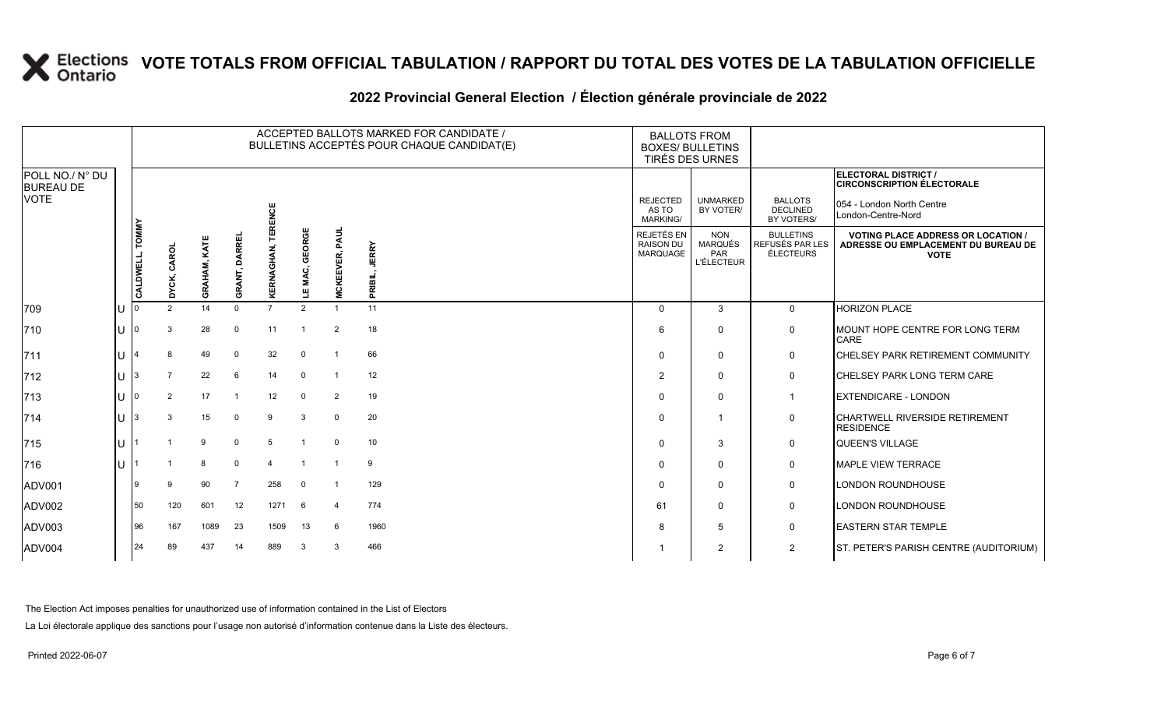|                                     |                    |                |              |                |                           |                     |                       | ACCEPTED BALLOTS MARKED FOR CANDIDATE /<br>BULLETINS ACCEPTÉS POUR CHAQUE CANDIDAT(E) | <b>BALLOTS FROM</b><br><b>BOXES/ BULLETINS</b>           | TIRÉS DES URNES                                          |                                                  |                                                                                                 |
|-------------------------------------|--------------------|----------------|--------------|----------------|---------------------------|---------------------|-----------------------|---------------------------------------------------------------------------------------|----------------------------------------------------------|----------------------------------------------------------|--------------------------------------------------|-------------------------------------------------------------------------------------------------|
| POLL NO./ N° DU<br><b>BUREAU DE</b> |                    |                |              |                |                           |                     |                       |                                                                                       |                                                          |                                                          |                                                  | ELECTORAL DISTRICT /<br><b>CIRCONSCRIPTION ÉLECTORALE</b>                                       |
| <b>VOTE</b>                         |                    |                |              |                |                           |                     |                       |                                                                                       | <b>REJECTED</b><br>AS TO<br><b>MARKING/</b>              | <b>UNMARKED</b><br>BY VOTER/                             | <b>BALLOTS</b><br><b>DECLINED</b><br>BY VOTERS/  | 054 - London North Centre<br>London-Centre-Nord                                                 |
|                                     | TOMMY<br>CALDWELL, | CAROL<br>DYCK, | GRAHAM, KATE | GRANT, DARREL  | <b>KERNAGHAN, TERENCE</b> | GEORGE<br>MAC,<br>ш | <b>MCKEEVER, PAUL</b> | <b>JERRY</b><br>PRIBIL,                                                               | <b>REJETÉS EN</b><br><b>RAISON DU</b><br><b>MARQUAGE</b> | <b>NON</b><br><b>MARQUÉS</b><br>PAR<br><b>L'ÉLECTEUR</b> | <b>BULLETINS</b><br>REFUSÉS PAR LES<br>ÉLECTEURS | <b>VOTING PLACE ADDRESS OR LOCATION /</b><br>ADRESSE OU EMPLACEMENT DU BUREAU DE<br><b>VOTE</b> |
| 709                                 |                    | $\overline{2}$ | 14           | $\Omega$       | $\overline{7}$            | $\overline{2}$      |                       | 11                                                                                    | $\Omega$                                                 | 3                                                        | $\Omega$                                         | <b>HORIZON PLACE</b>                                                                            |
| 710                                 |                    | 3              | 28           | $\mathbf 0$    | 11                        |                     | 2                     | 18                                                                                    | 6                                                        | $\Omega$                                                 | $\mathbf 0$                                      | MOUNT HOPE CENTRE FOR LONG TERM<br>CARE                                                         |
| 711                                 |                    | 8              | 49           | $\mathbf 0$    | 32                        | $\mathbf 0$         | $\overline{1}$        | 66                                                                                    | $\Omega$                                                 | $\Omega$                                                 | $\mathbf 0$                                      | <b>CHELSEY PARK RETIREMENT COMMUNITY</b>                                                        |
| 712                                 |                    | $\overline{7}$ | 22           | 6              | 14                        | $\mathbf 0$         | $\overline{1}$        | 12                                                                                    | $\overline{2}$                                           | 0                                                        | $\mathbf 0$                                      | CHELSEY PARK LONG TERM CARE                                                                     |
| 713                                 |                    | $\overline{2}$ | 17           | $\overline{1}$ | 12                        | $\mathbf 0$         | 2                     | 19                                                                                    | $\Omega$                                                 | $\mathbf 0$                                              | $\mathbf{1}$                                     | <b>EXTENDICARE - LONDON</b>                                                                     |
| 714                                 |                    | 3              | 15           | $\mathbf 0$    | 9                         | 3                   | $\mathbf 0$           | 20                                                                                    | $\Omega$                                                 |                                                          | $\mathbf 0$                                      | CHARTWELL RIVERSIDE RETIREMENT<br><b>RESIDENCE</b>                                              |
| 715                                 |                    |                | 9            | $\Omega$       | 5                         |                     | $\Omega$              | 10                                                                                    | $\Omega$                                                 | 3                                                        | $\mathbf 0$                                      | QUEEN'S VILLAGE                                                                                 |
| 716                                 |                    |                | 8            | $\Omega$       | $\overline{4}$            |                     |                       | 9                                                                                     | $\Omega$                                                 | 0                                                        | $\mathbf 0$                                      | MAPLE VIEW TERRACE                                                                              |
| ADV001                              |                    | 9              | 90           | $\overline{7}$ | 258                       | $\overline{0}$      |                       | 129                                                                                   | $\Omega$                                                 | $\Omega$                                                 | $\mathbf 0$                                      | LONDON ROUNDHOUSE                                                                               |
| ADV002                              | 50                 | 120            | 601          | 12             | 1271                      | 6                   | $\overline{4}$        | 774                                                                                   | 61                                                       | $\mathbf 0$                                              | $\mathbf 0$                                      | LONDON ROUNDHOUSE                                                                               |
| ADV003                              | 96                 | 167            | 1089         | 23             | 1509                      | 13                  | 6                     | 1960                                                                                  | 8                                                        | 5                                                        | $\mathbf 0$                                      | <b>EASTERN STAR TEMPLE</b>                                                                      |
| ADV004                              | 24                 | 89             | 437          | 14             | 889                       | 3                   | 3                     | 466                                                                                   |                                                          | $\overline{2}$                                           | $\overline{2}$                                   | ST. PETER'S PARISH CENTRE (AUDITORIUM)                                                          |

The Election Act imposes penalties for unauthorized use of information contained in the List of Electors